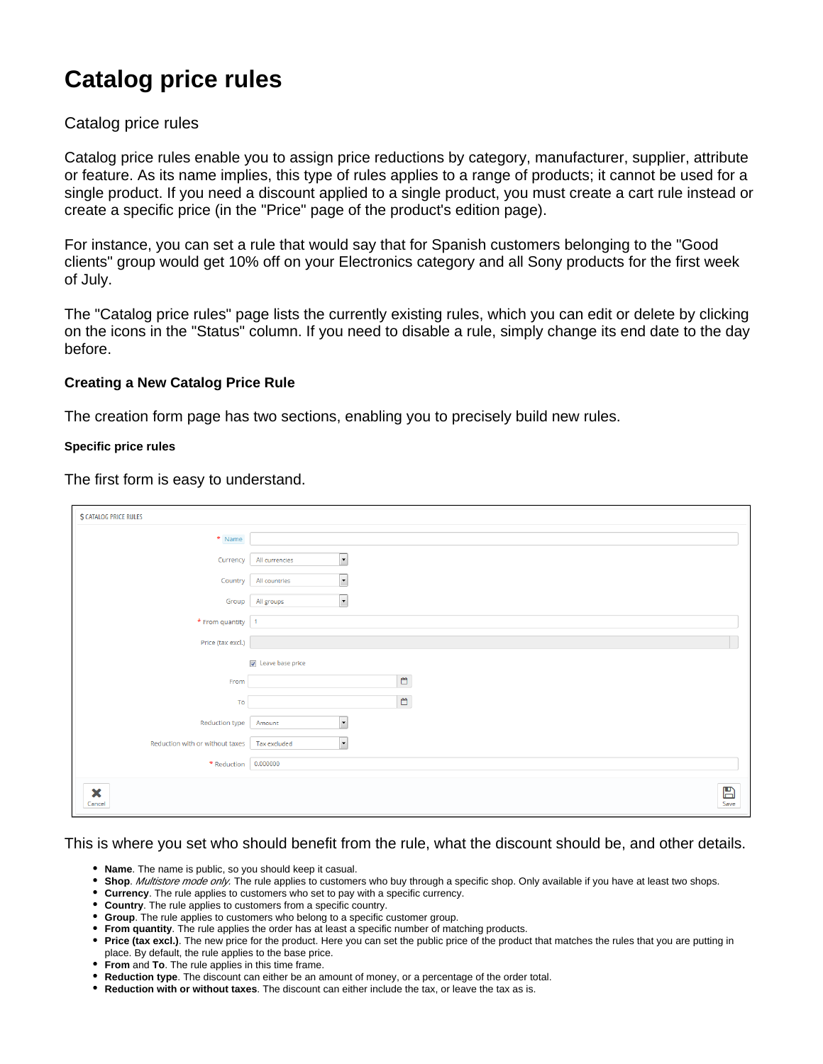# **Catalog price rules**

# Catalog price rules

Catalog price rules enable you to assign price reductions by category, manufacturer, supplier, attribute or feature. As its name implies, this type of rules applies to a range of products; it cannot be used for a single product. If you need a discount applied to a single product, you must create a cart rule instead or create a specific price (in the "Price" page of the product's edition page).

For instance, you can set a rule that would say that for Spanish customers belonging to the "Good clients" group would get 10% off on your Electronics category and all Sony products for the first week of July.

The "Catalog price rules" page lists the currently existing rules, which you can edit or delete by clicking on the icons in the "Status" column. If you need to disable a rule, simply change its end date to the day before.

# **Creating a New Catalog Price Rule**

The creation form page has two sections, enabling you to precisely build new rules.

#### **Specific price rules**

The first form is easy to understand.

| <b>\$ CATALOG PRICE RULES</b>                |                                            |
|----------------------------------------------|--------------------------------------------|
| * Name                                       |                                            |
| Currency                                     | $\overline{\phantom{0}}$<br>All currencies |
| Country                                      | $\overline{\phantom{a}}$<br>All countries  |
|                                              | $\vert \cdot \vert$<br>Group All groups    |
| $\star$ From quantity   1                    |                                            |
| Price (tax excl.)                            |                                            |
|                                              | $\sqrt{2}$ Leave base price                |
| From                                         | $\mathbb{C}$                               |
| To                                           | $\mathbb{C}$                               |
| Reduction type                               | $\overline{\phantom{a}}$<br>Amount         |
| Reduction with or without taxes Tax excluded | ⊡                                          |
| * Reduction 0.000000                         |                                            |
| ×<br>Cancel                                  | $\mathbb{B}$<br>Save                       |

# This is where you set who should benefit from the rule, what the discount should be, and other details.

- **Name**. The name is public, so you should keep it casual.
- **Shop**. Multistore mode only. The rule applies to customers who buy through a specific shop. Only available if you have at least two shops.
- **Currency**. The rule applies to customers who set to pay with a specific currency.
- **Country**. The rule applies to customers from a specific country.
- **Group**. The rule applies to customers who belong to a specific customer group.
- **From quantity**. The rule applies the order has at least a specific number of matching products.
- **Price (tax excl.)**. The new price for the product. Here you can set the public price of the product that matches the rules that you are putting in place. By default, the rule applies to the base price.
- **From** and **To**. The rule applies in this time frame.
- **Reduction type**. The discount can either be an amount of money, or a percentage of the order total.
- **Reduction with or without taxes**. The discount can either include the tax, or leave the tax as is.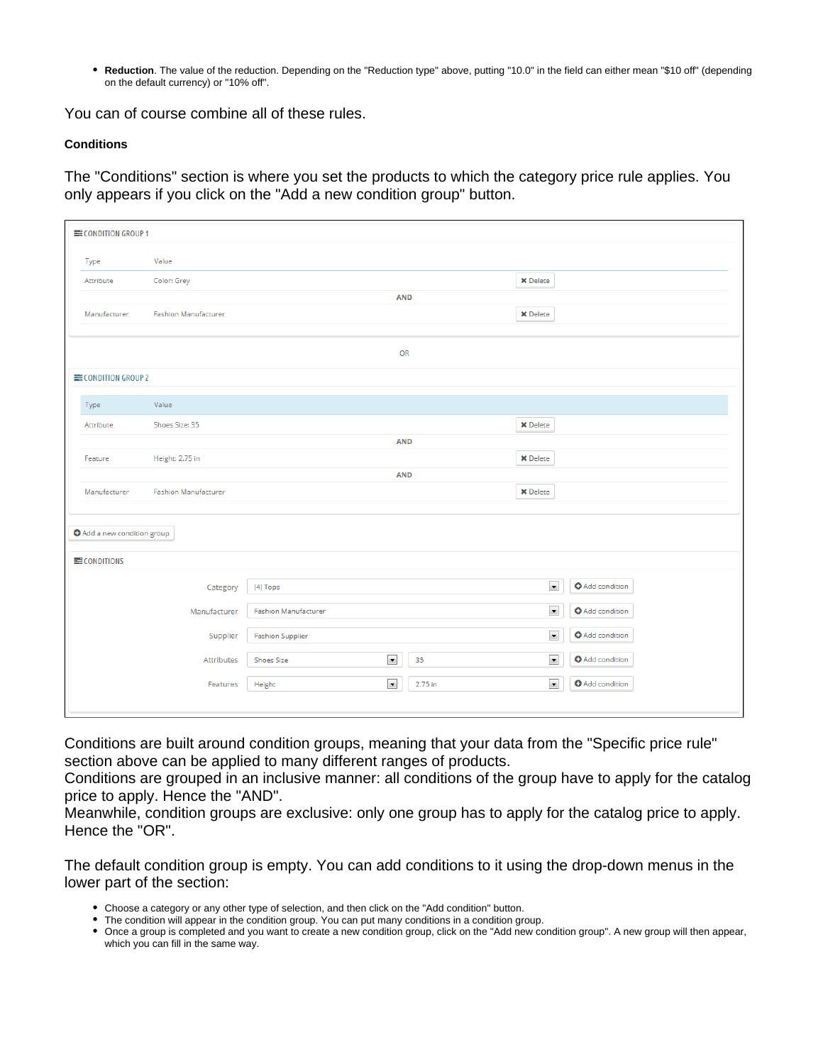**Reduction**. The value of the reduction. Depending on the "Reduction type" above, putting "10.0" in the field can either mean "\$10 off" (depending on the default currency) or "10% off".

You can of course combine all of these rules.

### **Conditions**

The "Conditions" section is where you set the products to which the category price rule applies. You only appears if you click on the "Add a new condition group" button.

| <b>ECONDITION GROUP 1</b>                   |                                                 |         |                      |                        |  |  |  |  |
|---------------------------------------------|-------------------------------------------------|---------|----------------------|------------------------|--|--|--|--|
| Value<br>Type                               |                                                 |         |                      |                        |  |  |  |  |
| Color: Grey<br>Attribute                    |                                                 |         | <b>X</b> Delete      |                        |  |  |  |  |
| <b>AND</b>                                  |                                                 |         |                      |                        |  |  |  |  |
| Manufacturer<br><b>Fashion Manufacturer</b> |                                                 |         | <b>X</b> Delete      |                        |  |  |  |  |
|                                             |                                                 |         |                      |                        |  |  |  |  |
|                                             | OR                                              |         |                      |                        |  |  |  |  |
| <b>ECONDITION GROUP 2</b>                   |                                                 |         |                      |                        |  |  |  |  |
| Value<br>Type                               |                                                 |         |                      |                        |  |  |  |  |
| Shoes Size: 35<br>Attribute                 |                                                 |         | <b>X</b> Delete      |                        |  |  |  |  |
| <b>AND</b>                                  |                                                 |         |                      |                        |  |  |  |  |
| Height: 2.75 in<br>Feature                  |                                                 |         | <b>X</b> Delete      |                        |  |  |  |  |
|                                             | <b>AND</b>                                      |         |                      |                        |  |  |  |  |
| <b>Fashion Manufacturer</b><br>Manufacturer |                                                 |         | <b>X</b> Delete      |                        |  |  |  |  |
|                                             |                                                 |         |                      |                        |  |  |  |  |
| <b>O</b> Add a new condition group          |                                                 |         |                      |                        |  |  |  |  |
| $\equiv$ CONDITIONS                         |                                                 |         |                      |                        |  |  |  |  |
| Category                                    | (4) Tops                                        |         | $\blacktriangledown$ | <b>O</b> Add condition |  |  |  |  |
| Manufacturer                                | <b>Fashion Manufacturer</b>                     |         | $\blacktriangledown$ | <b>O</b> Add condition |  |  |  |  |
| Supplier                                    | $\blacktriangledown$<br><b>Fashion Supplier</b> |         |                      | <b>O</b> Add condition |  |  |  |  |
| Attributes                                  | $\blacktriangledown$<br><b>Shoes Size</b>       | 35      | $\blacktriangledown$ | <b>O</b> Add condition |  |  |  |  |
| Features                                    | $\blacktriangledown$<br>Height                  | 2.75 in | $\blacktriangledown$ | <b>O</b> Add condition |  |  |  |  |
|                                             |                                                 |         |                      |                        |  |  |  |  |

Conditions are built around condition groups, meaning that your data from the "Specific price rule" section above can be applied to many different ranges of products.

Conditions are grouped in an inclusive manner: all conditions of the group have to apply for the catalog price to apply. Hence the "AND".

Meanwhile, condition groups are exclusive: only one group has to apply for the catalog price to apply. Hence the "OR".

The default condition group is empty. You can add conditions to it using the drop-down menus in the lower part of the section:

- Choose a category or any other type of selection, and then click on the "Add condition" button.
- The condition will appear in the condition group. You can put many conditions in a condition group.
- Once a group is completed and you want to create a new condition group, click on the "Add new condition group". A new group will then appear, which you can fill in the same way.